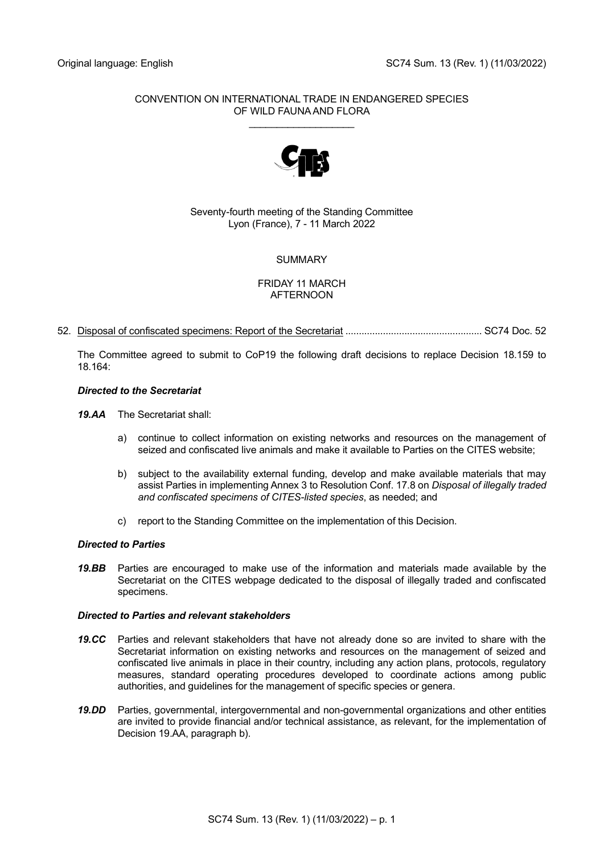## CONVENTION ON INTERNATIONAL TRADE IN ENDANGERED SPECIES OF WILD FAUNA AND FLORA

\_\_\_\_\_\_\_\_\_\_\_\_\_\_\_\_\_\_\_



Seventy-fourth meeting of the Standing Committee Lyon (France), 7 - 11 March 2022

# **SUMMARY**

## FRIDAY 11 MARCH AFTERNOON

52. Disposal of confiscated specimens: Report of the Secretariat ................................................... SC74 Doc. 52

The Committee agreed to submit to CoP19 the following draft decisions to replace Decision 18.159 to 18.164:

## *Directed to the Secretariat*

*19.AA* The Secretariat shall:

- a) continue to collect information on existing networks and resources on the management of seized and confiscated live animals and make it available to Parties on the CITES website;
- b) subject to the availability external funding, develop and make available materials that may assist Parties in implementing Annex 3 to Resolution Conf. 17.8 on *Disposal of illegally traded and confiscated specimens of CITES-listed species*, as needed; and
- c) report to the Standing Committee on the implementation of this Decision.

## *Directed to Parties*

*19.BB* Parties are encouraged to make use of the information and materials made available by the Secretariat on the CITES webpage dedicated to the disposal of illegally traded and confiscated specimens.

## *Directed to Parties and relevant stakeholders*

- *19.CC* Parties and relevant stakeholders that have not already done so are invited to share with the Secretariat information on existing networks and resources on the management of seized and confiscated live animals in place in their country, including any action plans, protocols, regulatory measures, standard operating procedures developed to coordinate actions among public authorities, and guidelines for the management of specific species or genera.
- *19.DD* Parties, governmental, intergovernmental and non-governmental organizations and other entities are invited to provide financial and/or technical assistance, as relevant, for the implementation of Decision 19.AA, paragraph b).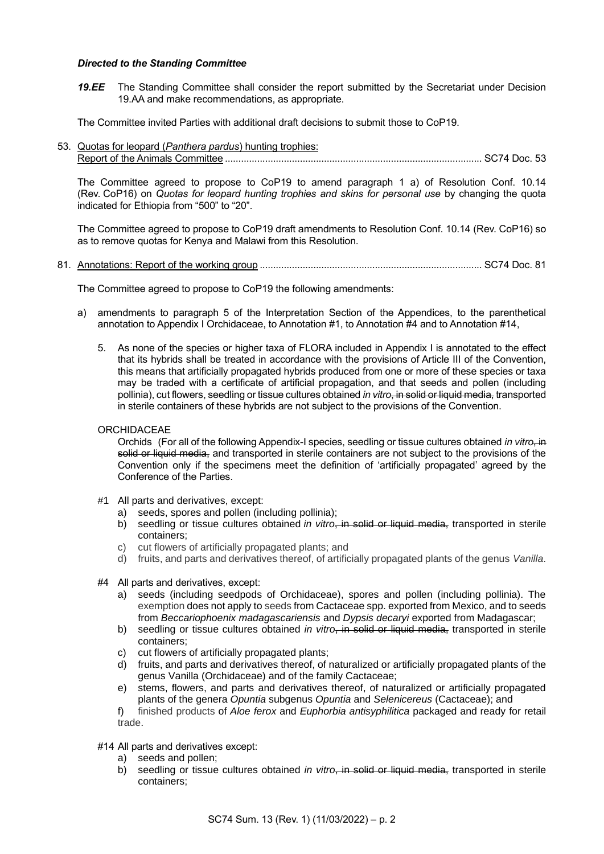### *Directed to the Standing Committee*

19.EE The Standing Committee shall consider the report submitted by the Secretariat under Decision 19.AA and make recommendations, as appropriate.

The Committee invited Parties with additional draft decisions to submit those to CoP19.

53. Quotas for leopard (*Panthera pardus*) hunting trophies: Report of the Animals Committee ................................................................................................ SC74 Doc. 53

The Committee agreed to propose to CoP19 to amend paragraph 1 a) of Resolution Conf. 10.14 (Rev. CoP16) on *Quotas for leopard hunting trophies and skins for personal use* by changing the quota indicated for Ethiopia from "500" to "20".

The Committee agreed to propose to CoP19 draft amendments to Resolution Conf. 10.14 (Rev. CoP16) so as to remove quotas for Kenya and Malawi from this Resolution.

81. Annotations: Report of the working group ................................................................................... SC74 Doc. 81

The Committee agreed to propose to CoP19 the following amendments:

- a) amendments to paragraph 5 of the Interpretation Section of the Appendices, to the parenthetical annotation to Appendix I Orchidaceae, to Annotation #1, to Annotation #4 and to Annotation #14,
	- 5. As none of the species or higher taxa of FLORA included in Appendix I is annotated to the effect that its hybrids shall be treated in accordance with the provisions of Article III of the Convention, this means that artificially propagated hybrids produced from one or more of these species or taxa may be traded with a certificate of artificial propagation, and that seeds and pollen (including pollinia), cut flowers, seedling or tissue cultures obtained *in vitro*, in solid or liquid media, transported in sterile containers of these hybrids are not subject to the provisions of the Convention.
	- **ORCHIDACEAE**

Orchids (For all of the following Appendix-I species, seedling or tissue cultures obtained *in vitro*, in solid or liquid media, and transported in sterile containers are not subject to the provisions of the Convention only if the specimens meet the definition of 'artificially propagated' agreed by the Conference of the Parties.

- #1 All parts and derivatives, except:
	- a) seeds, spores and pollen (including pollinia);
	- b) seedling or tissue cultures obtained *in vitro*, in solid or liquid media, transported in sterile containers;
	- c) cut flowers of artificially propagated plants; and
	- d) fruits, and parts and derivatives thereof, of artificially propagated plants of the genus *Vanilla*.
- #4 All parts and derivatives, except:
	- a) seeds (including seedpods of Orchidaceae), spores and pollen (including pollinia). The exemption does not apply to seeds from Cactaceae spp. exported from Mexico, and to seeds from *Beccariophoenix madagascariensis* and *Dypsis decaryi* exported from Madagascar;
	- b) seedling or tissue cultures obtained *in vitro*, in solid or liquid media, transported in sterile containers;
	- c) cut flowers of artificially propagated plants;
	- d) fruits, and parts and derivatives thereof, of naturalized or artificially propagated plants of the genus Vanilla (Orchidaceae) and of the family Cactaceae;
	- e) stems, flowers, and parts and derivatives thereof, of naturalized or artificially propagated plants of the genera *Opuntia* subgenus *Opuntia* and *Selenicereus* (Cactaceae); and

f) finished products of *Aloe ferox* and *Euphorbia antisyphilitica* packaged and ready for retail trade.

### #14 All parts and derivatives except:

- a) seeds and pollen;
- b) seedling or tissue cultures obtained *in vitro*, in solid or liquid media, transported in sterile containers;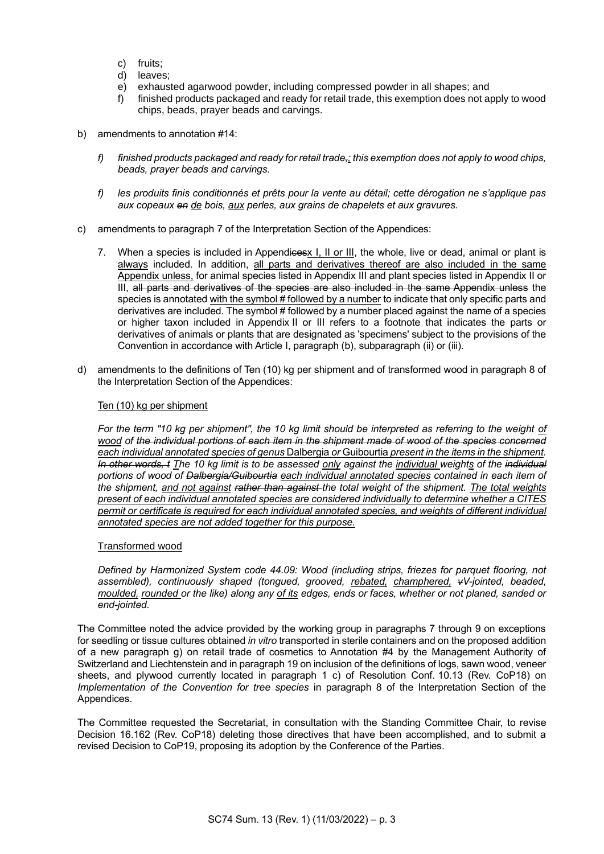- c) fruits;
- d) leaves;
- e) exhausted agarwood powder, including compressed powder in all shapes; and
- f) finished products packaged and ready for retail trade, this exemption does not apply to wood chips, beads, prayer beads and carvings.
- b) amendments to annotation #14:
	- *f) finished products packaged and ready for retail trade,; this exemption does not apply to wood chips, beads, prayer beads and carvings.*
	- *f) les produits finis conditionnés et prêts pour la vente au détail; cette dérogation ne s'applique pas aux copeaux en de bois, aux perles, aux grains de chapelets et aux gravures.*
- c) amendments to paragraph 7 of the Interpretation Section of the Appendices:
	- 7. When a species is included in Appendices I, II or III, the whole, live or dead, animal or plant is always included. In addition, all parts and derivatives thereof are also included in the same Appendix unless, for animal species listed in Appendix III and plant species listed in Appendix II or III, all parts and derivatives of the species are also included in the same Appendix unless the species is annotated with the symbol # followed by a number to indicate that only specific parts and derivatives are included. The symbol # followed by a number placed against the name of a species or higher taxon included in Appendix II or III refers to a footnote that indicates the parts or derivatives of animals or plants that are designated as 'specimens' subject to the provisions of the Convention in accordance with Article I, paragraph (b), subparagraph (ii) or (iii).
- d) amendments to the definitions of Ten (10) kg per shipment and of transformed wood in paragraph 8 of the Interpretation Section of the Appendices:

### Ten (10) kg per shipment

*For the term "10 kg per shipment", the 10 kg limit should be interpreted as referring to the weight of wood of the individual portions of each item in the shipment made of wood of the species concerned each individual annotated species of genus* Dalbergia *or* Guibourtia *present in the items in the shipment. In other words, t The 10 kg limit is to be assessed only against the individual weights of the individual portions of wood of Dalbergia/Guibourtia each individual annotated species contained in each item of the shipment, and not against rather than against the total weight of the shipment. The total weights present of each individual annotated species are considered individually to determine whether a CITES permit or certificate is required for each individual annotated species, and weights of different individual annotated species are not added together for this purpose.*

#### Transformed wood

*Defined by Harmonized System code 44.09: Wood (including strips, friezes for parquet flooring, not assembled), continuously shaped (tongued, grooved, rebated, champhered, vV-jointed, beaded, moulded, rounded or the like) along any of its edges, ends or faces, whether or not planed, sanded or end-jointed.*

The Committee noted the advice provided by the working group in paragraphs 7 through 9 on exceptions for seedling or tissue cultures obtained *in vitro* transported in sterile containers and on the proposed addition of a new paragraph g) on retail trade of cosmetics to Annotation #4 by the Management Authority of Switzerland and Liechtenstein and in paragraph 19 on inclusion of the definitions of logs, sawn wood, veneer sheets, and plywood currently located in paragraph 1 c) of Resolution Conf. 10.13 (Rev. CoP18) on *Implementation of the Convention for tree species* in paragraph 8 of the Interpretation Section of the Appendices.

The Committee requested the Secretariat, in consultation with the Standing Committee Chair, to revise Decision 16.162 (Rev. CoP18) deleting those directives that have been accomplished, and to submit a revised Decision to CoP19, proposing its adoption by the Conference of the Parties.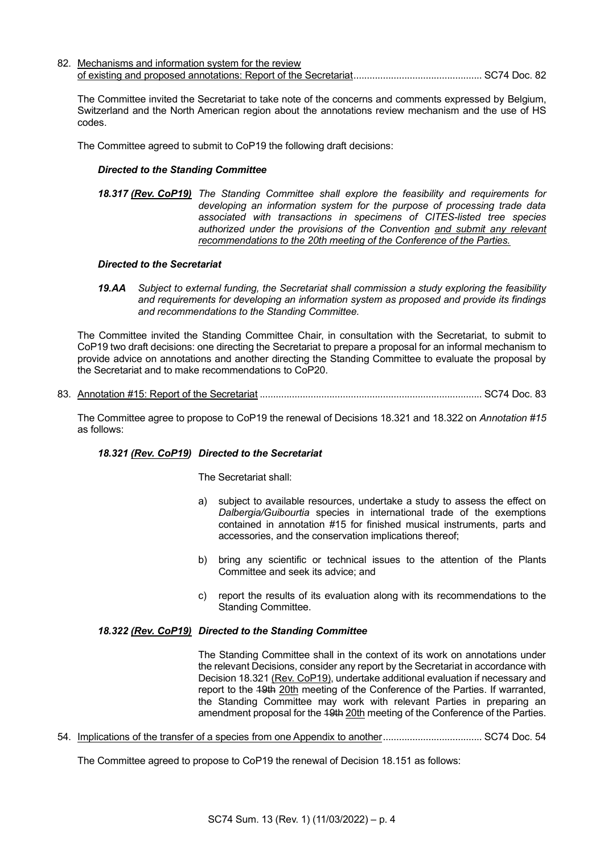82. Mechanisms and information system for the review of existing and proposed annotations: Report of the Secretariat................................................ SC74 Doc. 82

The Committee invited the Secretariat to take note of the concerns and comments expressed by Belgium, Switzerland and the North American region about the annotations review mechanism and the use of HS codes.

The Committee agreed to submit to CoP19 the following draft decisions:

#### *Directed to the Standing Committee*

*18.317 (Rev. CoP19) The Standing Committee shall explore the feasibility and requirements for developing an information system for the purpose of processing trade data associated with transactions in specimens of CITES-listed tree species authorized under the provisions of the Convention and submit any relevant recommendations to the 20th meeting of the Conference of the Parties.*

#### *Directed to the Secretariat*

*19.AA Subject to external funding, the Secretariat shall commission a study exploring the feasibility and requirements for developing an information system as proposed and provide its findings and recommendations to the Standing Committee.*

The Committee invited the Standing Committee Chair, in consultation with the Secretariat, to submit to CoP19 two draft decisions: one directing the Secretariat to prepare a proposal for an informal mechanism to provide advice on annotations and another directing the Standing Committee to evaluate the proposal by the Secretariat and to make recommendations to CoP20.

83. Annotation #15: Report of the Secretariat ................................................................................... SC74 Doc. 83

The Committee agree to propose to CoP19 the renewal of Decisions 18.321 and 18.322 on *Annotation #15* as follows:

### *18.321 (Rev. CoP19) Directed to the Secretariat*

The Secretariat shall:

- a) subject to available resources, undertake a study to assess the effect on *Dalbergia/Guibourtia* species in international trade of the exemptions contained in annotation #15 for finished musical instruments, parts and accessories, and the conservation implications thereof;
- b) bring any scientific or technical issues to the attention of the Plants Committee and seek its advice; and
- c) report the results of its evaluation along with its recommendations to the Standing Committee.

### *18.322 (Rev. CoP19) Directed to the Standing Committee*

The Standing Committee shall in the context of its work on annotations under the relevant Decisions, consider any report by the Secretariat in accordance with Decision 18.321 (Rev. CoP19), undertake additional evaluation if necessary and report to the 49th 20th meeting of the Conference of the Parties. If warranted, the Standing Committee may work with relevant Parties in preparing an amendment proposal for the 49th 20th meeting of the Conference of the Parties.

54. Implications of the transfer of a species from one Appendix to another..................................... SC74 Doc. 54

The Committee agreed to propose to CoP19 the renewal of Decision 18.151 as follows: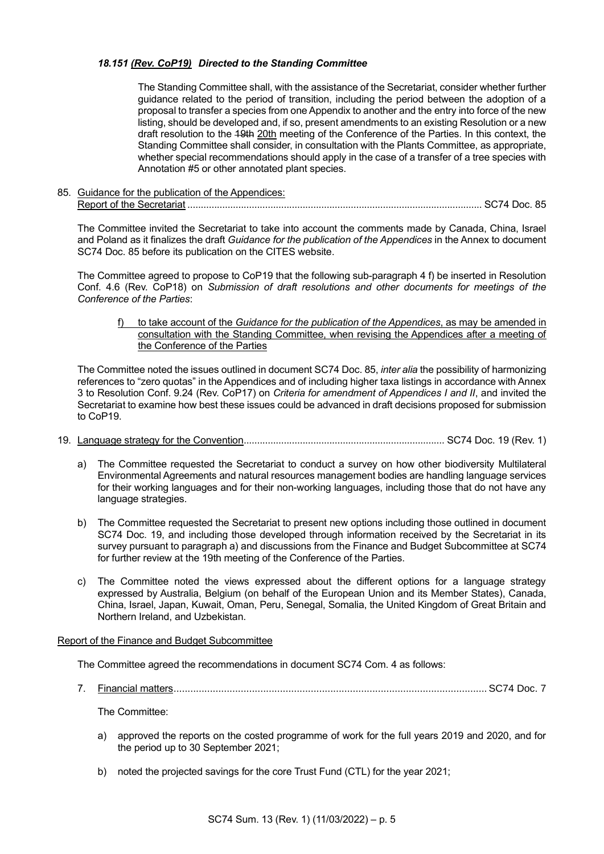## *18.151 (Rev. CoP19) Directed to the Standing Committee*

The Standing Committee shall, with the assistance of the Secretariat, consider whether further guidance related to the period of transition, including the period between the adoption of a proposal to transfer a species from one Appendix to another and the entry into force of the new listing, should be developed and, if so, present amendments to an existing Resolution or a new draft resolution to the 19th 20th meeting of the Conference of the Parties. In this context, the Standing Committee shall consider, in consultation with the Plants Committee, as appropriate, whether special recommendations should apply in the case of a transfer of a tree species with Annotation #5 or other annotated plant species.

85. Guidance for the publication of the Appendices: Report of the Secretariat .............................................................................................................. SC74 Doc. 85

The Committee invited the Secretariat to take into account the comments made by Canada, China, Israel and Poland as it finalizes the draft *Guidance for the publication of the Appendices* in the Annex to document SC74 Doc. 85 before its publication on the CITES website.

The Committee agreed to propose to CoP19 that the following sub-paragraph 4 f) be inserted in Resolution Conf. 4.6 (Rev. CoP18) on *Submission of draft resolutions and other documents for meetings of the Conference of the Parties*:

f) to take account of the *Guidance for the publication of the Appendices*, as may be amended in consultation with the Standing Committee, when revising the Appendices after a meeting of the Conference of the Parties

The Committee noted the issues outlined in document SC74 Doc. 85, *inter alia* the possibility of harmonizing references to "zero quotas" in the Appendices and of including higher taxa listings in accordance with Annex 3 to Resolution Conf. 9.24 (Rev. CoP17) on *Criteria for amendment of Appendices I and II*, and invited the Secretariat to examine how best these issues could be advanced in draft decisions proposed for submission to CoP19.

- 19. Language strategy for the Convention........................................................................... SC74 Doc. 19 (Rev. 1)
	- a) The Committee requested the Secretariat to conduct a survey on how other biodiversity Multilateral Environmental Agreements and natural resources management bodies are handling language services for their working languages and for their non-working languages, including those that do not have any language strategies.
	- b) The Committee requested the Secretariat to present new options including those outlined in document SC74 Doc. 19, and including those developed through information received by the Secretariat in its survey pursuant to paragraph a) and discussions from the Finance and Budget Subcommittee at SC74 for further review at the 19th meeting of the Conference of the Parties.
	- c) The Committee noted the views expressed about the different options for a language strategy expressed by Australia, Belgium (on behalf of the European Union and its Member States), Canada, China, Israel, Japan, Kuwait, Oman, Peru, Senegal, Somalia, the United Kingdom of Great Britain and Northern Ireland, and Uzbekistan.

### Report of the Finance and Budget Subcommittee

The Committee agreed the recommendations in document SC74 Com. 4 as follows:

7. Financial matters................................................................................................................ SC74 Doc. 7

The Committee:

- a) approved the reports on the costed programme of work for the full years 2019 and 2020, and for the period up to 30 September 2021;
- b) noted the projected savings for the core Trust Fund (CTL) for the year 2021;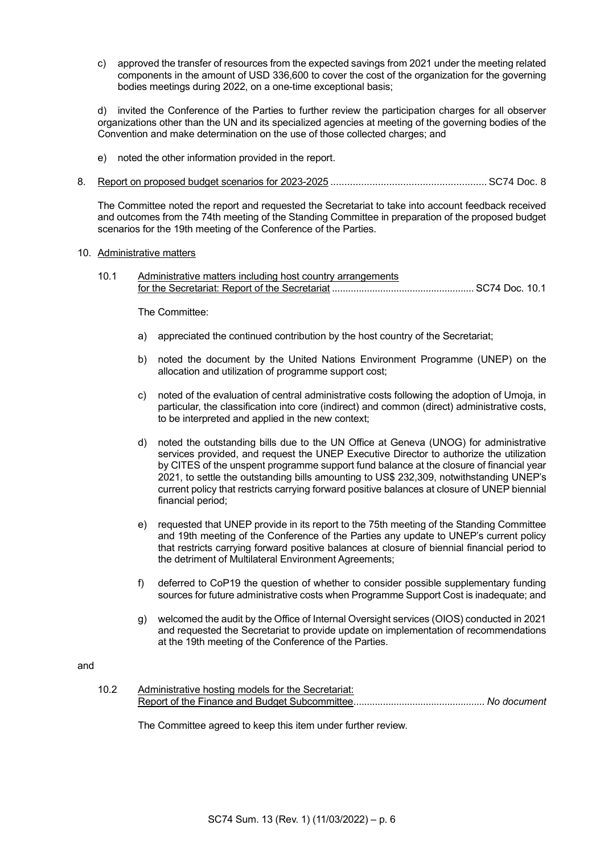c) approved the transfer of resources from the expected savings from 2021 under the meeting related components in the amount of USD 336,600 to cover the cost of the organization for the governing bodies meetings during 2022, on a one-time exceptional basis;

d) invited the Conference of the Parties to further review the participation charges for all observer organizations other than the UN and its specialized agencies at meeting of the governing bodies of the Convention and make determination on the use of those collected charges; and

- e) noted the other information provided in the report.
- 8. Report on proposed budget scenarios for 2023-2025 ........................................................ SC74 Doc. 8

The Committee noted the report and requested the Secretariat to take into account feedback received and outcomes from the 74th meeting of the Standing Committee in preparation of the proposed budget scenarios for the 19th meeting of the Conference of the Parties.

### 10. Administrative matters

10.1 Administrative matters including host country arrangements for the Secretariat: Report of the Secretariat ..................................................... SC74 Doc. 10.1

The Committee:

- a) appreciated the continued contribution by the host country of the Secretariat;
- b) noted the document by the United Nations Environment Programme (UNEP) on the allocation and utilization of programme support cost;
- c) noted of the evaluation of central administrative costs following the adoption of Umoja, in particular, the classification into core (indirect) and common (direct) administrative costs, to be interpreted and applied in the new context;
- d) noted the outstanding bills due to the UN Office at Geneva (UNOG) for administrative services provided, and request the UNEP Executive Director to authorize the utilization by CITES of the unspent programme support fund balance at the closure of financial year 2021, to settle the outstanding bills amounting to US\$ 232,309, notwithstanding UNEP's current policy that restricts carrying forward positive balances at closure of UNEP biennial financial period;
- e) requested that UNEP provide in its report to the 75th meeting of the Standing Committee and 19th meeting of the Conference of the Parties any update to UNEP's current policy that restricts carrying forward positive balances at closure of biennial financial period to the detriment of Multilateral Environment Agreements;
- f) deferred to CoP19 the question of whether to consider possible supplementary funding sources for future administrative costs when Programme Support Cost is inadequate; and
- g) welcomed the audit by the Office of Internal Oversight services (OIOS) conducted in 2021 and requested the Secretariat to provide update on implementation of recommendations at the 19th meeting of the Conference of the Parties.

### and

10.2 Administrative hosting models for the Secretariat: Report of the Finance and Budget Subcommittee................................................. *No document*

The Committee agreed to keep this item under further review.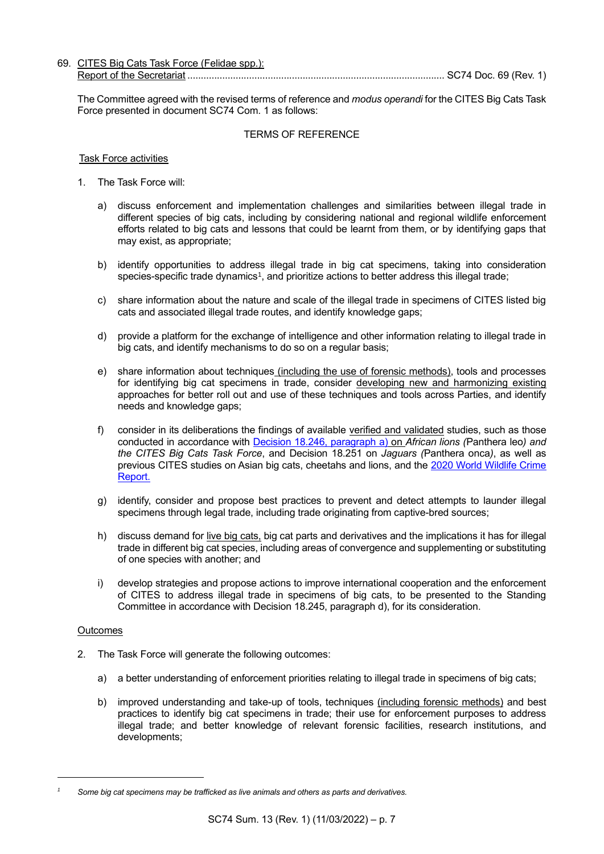| 69. CITES Big Cats Task Force (Felidae spp.): |                       |  |
|-----------------------------------------------|-----------------------|--|
| Report of the Secretariat                     | SC74 Doc. 69 (Rev. 1' |  |

The Committee agreed with the revised terms of reference and *modus operandi* for the CITES Big Cats Task Force presented in document SC74 Com. 1 as follows:

## TERMS OF REFERENCE

### Task Force activities

- 1. The Task Force will:
	- a) discuss enforcement and implementation challenges and similarities between illegal trade in different species of big cats, including by considering national and regional wildlife enforcement efforts related to big cats and lessons that could be learnt from them, or by identifying gaps that may exist, as appropriate;
	- b) identify opportunities to address illegal trade in big cat specimens, taking into consideration species-specific trade dynamics<sup>1</sup> , and prioritize actions to better address this illegal trade;
	- c) share information about the nature and scale of the illegal trade in specimens of CITES listed big cats and associated illegal trade routes, and identify knowledge gaps;
	- d) provide a platform for the exchange of intelligence and other information relating to illegal trade in big cats, and identify mechanisms to do so on a regular basis;
	- e) share information about techniques (including the use of forensic methods), tools and processes for identifying big cat specimens in trade, consider developing new and harmonizing existing approaches for better roll out and use of these techniques and tools across Parties, and identify needs and knowledge gaps;
	- f) consider in its deliberations the findings of available verified and validated studies, such as those conducted in accordance with [Decision 18.246, paragraph](https://cites.org/eng/taxonomy/term/42091) a) on *African lions (*Panthera leo*) and the CITES Big Cats Task Force*, and Decision 18.251 on *Jaguars (*Panthera onca*)*, as well as previous CITES studies on Asian big cats, cheetahs and lions, and the [2020 World Wildlife Crime](https://www.unodc.org/documents/data-and-analysis/wildlife/2020/World_Wildlife_Report_2020_9July.pdf)  [Report.](https://www.unodc.org/documents/data-and-analysis/wildlife/2020/World_Wildlife_Report_2020_9July.pdf)
	- g) identify, consider and propose best practices to prevent and detect attempts to launder illegal specimens through legal trade, including trade originating from captive-bred sources;
	- h) discuss demand for <u>live big cats</u>, big cat parts and derivatives and the implications it has for illegal trade in different big cat species, including areas of convergence and supplementing or substituting of one species with another; and
	- i) develop strategies and propose actions to improve international cooperation and the enforcement of CITES to address illegal trade in specimens of big cats, to be presented to the Standing Committee in accordance with Decision 18.245, paragraph d), for its consideration.

### **Outcomes**

- 2. The Task Force will generate the following outcomes:
	- a) a better understanding of enforcement priorities relating to illegal trade in specimens of big cats;
	- b) improved understanding and take-up of tools, techniques *(including forensic methods)* and best practices to identify big cat specimens in trade; their use for enforcement purposes to address illegal trade; and better knowledge of relevant forensic facilities, research institutions, and developments;

*<sup>1</sup> Some big cat specimens may be trafficked as live animals and others as parts and derivatives.*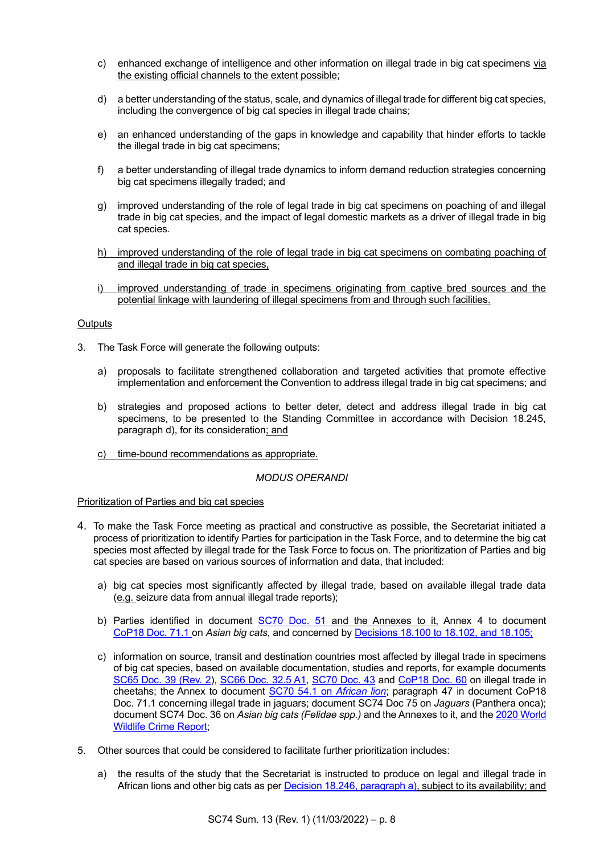- c) enhanced exchange of intelligence and other information on illegal trade in big cat specimens via the existing official channels to the extent possible;
- d) a better understanding of the status, scale, and dynamics of illegal trade for different big cat species, including the convergence of big cat species in illegal trade chains;
- e) an enhanced understanding of the gaps in knowledge and capability that hinder efforts to tackle the illegal trade in big cat specimens;
- f) a better understanding of illegal trade dynamics to inform demand reduction strategies concerning big cat specimens illegally traded; and
- g) improved understanding of the role of legal trade in big cat specimens on poaching of and illegal trade in big cat species, and the impact of legal domestic markets as a driver of illegal trade in big cat species.
- h) improved understanding of the role of legal trade in big cat specimens on combating poaching of and illegal trade in big cat species,
- i) improved understanding of trade in specimens originating from captive bred sources and the potential linkage with laundering of illegal specimens from and through such facilities.

## **Outputs**

- 3. The Task Force will generate the following outputs:
	- a) proposals to facilitate strengthened collaboration and targeted activities that promote effective implementation and enforcement the Convention to address illegal trade in big cat specimens; and
	- b) strategies and proposed actions to better deter, detect and address illegal trade in big cat specimens, to be presented to the Standing Committee in accordance with Decision 18.245, paragraph d), for its consideration; and
	- c) time-bound recommendations as appropriate.

## *MODUS OPERANDI*

### Prioritization of Parties and big cat species

- 4. To make the Task Force meeting as practical and constructive as possible, the Secretariat initiated a process of prioritization to identify Parties for participation in the Task Force, and to determine the big cat species most affected by illegal trade for the Task Force to focus on. The prioritization of Parties and big cat species are based on various sources of information and data, that included:
	- a) big cat species most significantly affected by illegal trade, based on available illegal trade data (e.g. seizure data from annual illegal trade reports);
	- b) Parties identified in document [SC70 Doc. 51](https://cites.org/sites/default/files/eng/com/sc/70/E-SC70-51.pdf) and the Annexes to it, Annex 4 to document [CoP18](https://cites.org/sites/default/files/eng/cop/18/doc/E-CoP18-071-01.pdf) Doc. 71.1 on *Asian big cats*, and concerned by [Decisions 18.100 to 18.102, and 18.105;](https://cites.org/eng/taxonomy/term/42047)
	- c) information on source, transit and destination countries most affected by illegal trade in specimens of big cat species, based on available documentation, studies and reports, for example documents SC65 [Doc. 39 \(Rev. 2\)](https://cites.org/sites/default/files/eng/com/sc/65/E-SC65-39.pdf), [SC66 Doc. 32.5 A1,](https://cites.org/sites/default/files/eng/com/sc/66/E-SC66-32-05_Annex.pdf) [SC70 Doc. 43](https://cites.org/sites/default/files/eng/com/sc/70/E-SC70-43.pdf) and [CoP18 Doc. 60](https://cites.org/sites/default/files/eng/cop/18/doc/E-CoP18-060.pdf) on illegal trade in cheetahs; the Annex to document [SC70 54.1](https://cites.org/sites/default/files/eng/com/sc/70/E-SC70-54-001.pdf) on *African lion*; paragraph 47 in document CoP18 Doc. 71.1 concerning illegal trade in jaguars; document SC74 Doc 75 on *Jaguars* (Panthera onca); document SC74 Doc. 36 on *Asian big cats (Felidae spp.)* and the Annexes to it, and the [2020 World](https://www.unodc.org/documents/data-and-analysis/wildlife/2020/World_Wildlife_Report_2020_9July.pdf)  [Wildlife Crime Report;](https://www.unodc.org/documents/data-and-analysis/wildlife/2020/World_Wildlife_Report_2020_9July.pdf)
- 5. Other sources that could be considered to facilitate further prioritization includes:
	- a) the results of the study that the Secretariat is instructed to produce on legal and illegal trade in African lions and other big cats as per [Decision 18.246, paragraph a\),](https://cites.org/eng/taxonomy/term/42091) subject to its availability; and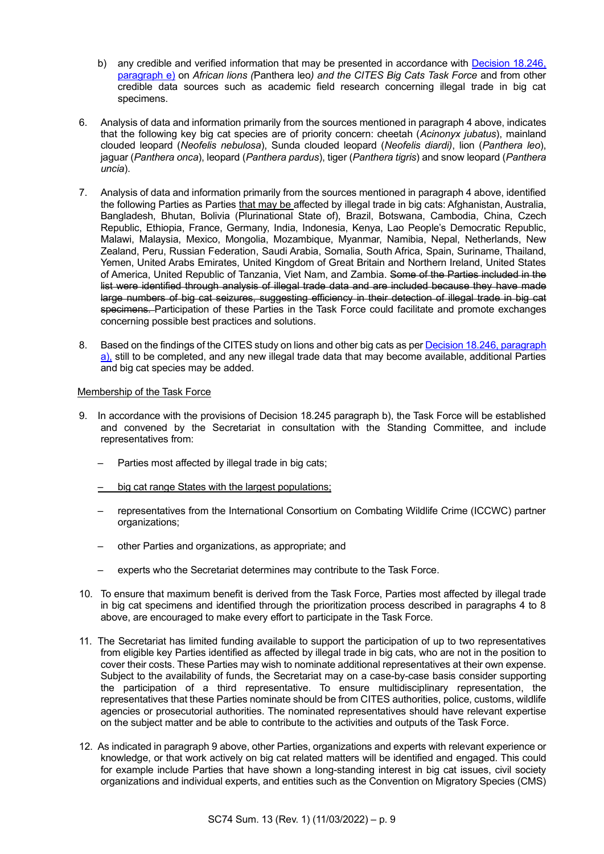- b) any credible and verified information that may be presented in accordance with Decision 18.246, [paragraph e\)](https://cites.org/eng/taxonomy/term/42091) on *African lions (*Panthera leo*) and the CITES Big Cats Task Force* and from other credible data sources such as academic field research concerning illegal trade in big cat specimens.
- 6. Analysis of data and information primarily from the sources mentioned in paragraph 4 above, indicates that the following key big cat species are of priority concern: cheetah (*Acinonyx jubatus*), mainland clouded leopard (*Neofelis nebulosa*), Sunda clouded leopard (*Neofelis diardi)*, lion (*Panthera leo*), jaguar (*Panthera onca*), leopard (*Panthera pardus*), tiger (*Panthera tigris*) and snow leopard (*Panthera uncia*).
- 7. Analysis of data and information primarily from the sources mentioned in paragraph 4 above, identified the following Parties as Parties that may be affected by illegal trade in big cats: Afghanistan, Australia, Bangladesh, Bhutan, Bolivia (Plurinational State of), Brazil, Botswana, Cambodia, China, Czech Republic, Ethiopia, France, Germany, India, Indonesia, Kenya, Lao People's Democratic Republic, Malawi, Malaysia, Mexico, Mongolia, Mozambique, Myanmar, Namibia, Nepal, Netherlands, New Zealand, Peru, Russian Federation, Saudi Arabia, Somalia, South Africa, Spain, Suriname, Thailand, Yemen, United Arabs Emirates, United Kingdom of Great Britain and Northern Ireland, United States of America, United Republic of Tanzania, Viet Nam, and Zambia. Some of the Parties included in the list were identified through analysis of illegal trade data and are included because they have made large numbers of big cat seizures, suggesting efficiency in their detection of illegal trade in big cat specimens. Participation of these Parties in the Task Force could facilitate and promote exchanges concerning possible best practices and solutions.
- 8. Based on the findings of the CITES study on lions and other big cats as pe[r Decision 18.246, paragraph](https://cites.org/eng/taxonomy/term/42091)  [a\),](https://cites.org/eng/taxonomy/term/42091) still to be completed, and any new illegal trade data that may become available, additional Parties and big cat species may be added.

## Membership of the Task Force

- 9. In accordance with the provisions of Decision 18.245 paragraph b), the Task Force will be established and convened by the Secretariat in consultation with the Standing Committee, and include representatives from:
	- Parties most affected by illegal trade in big cats;
	- big cat range States with the largest populations;
	- representatives from the International Consortium on Combating Wildlife Crime (ICCWC) partner organizations;
	- other Parties and organizations, as appropriate; and
	- experts who the Secretariat determines may contribute to the Task Force.
- 10. To ensure that maximum benefit is derived from the Task Force, Parties most affected by illegal trade in big cat specimens and identified through the prioritization process described in paragraphs 4 to 8 above, are encouraged to make every effort to participate in the Task Force.
- 11. The Secretariat has limited funding available to support the participation of up to two representatives from eligible key Parties identified as affected by illegal trade in big cats, who are not in the position to cover their costs. These Parties may wish to nominate additional representatives at their own expense. Subject to the availability of funds, the Secretariat may on a case-by-case basis consider supporting the participation of a third representative. To ensure multidisciplinary representation, the representatives that these Parties nominate should be from CITES authorities, police, customs, wildlife agencies or prosecutorial authorities. The nominated representatives should have relevant expertise on the subject matter and be able to contribute to the activities and outputs of the Task Force.
- 12. As indicated in paragraph 9 above, other Parties, organizations and experts with relevant experience or knowledge, or that work actively on big cat related matters will be identified and engaged. This could for example include Parties that have shown a long-standing interest in big cat issues, civil society organizations and individual experts, and entities such as the Convention on Migratory Species (CMS)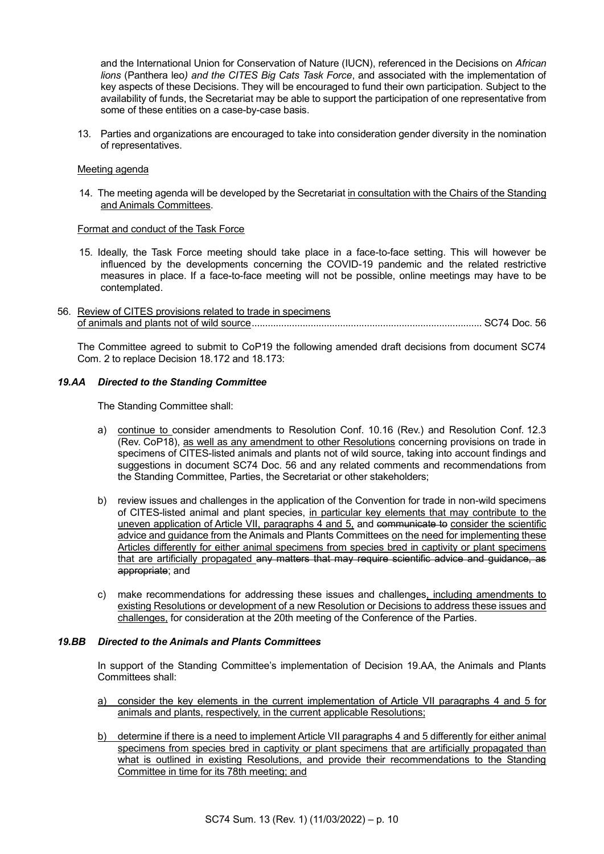and the International Union for Conservation of Nature (IUCN), referenced in the Decisions on *African lions* (Panthera leo*) and the CITES Big Cats Task Force*, and associated with the implementation of key aspects of these Decisions. They will be encouraged to fund their own participation. Subject to the availability of funds, the Secretariat may be able to support the participation of one representative from some of these entities on a case-by-case basis.

13. Parties and organizations are encouraged to take into consideration gender diversity in the nomination of representatives.

## Meeting agenda

14. The meeting agenda will be developed by the Secretariat in consultation with the Chairs of the Standing and Animals Committees.

### Format and conduct of the Task Force

- 15. Ideally, the Task Force meeting should take place in a face-to-face setting. This will however be influenced by the developments concerning the COVID-19 pandemic and the related restrictive measures in place. If a face-to-face meeting will not be possible, online meetings may have to be contemplated.
- 56. Review of CITES provisions related to trade in specimens of animals and plants not of wild source...................................................................................... SC74 Doc. 56

The Committee agreed to submit to CoP19 the following amended draft decisions from document SC74 Com. 2 to replace Decision 18.172 and 18.173:

### *19.AA Directed to the Standing Committee*

The Standing Committee shall:

- a) continue to consider amendments to Resolution Conf. 10.16 (Rev.) and Resolution Conf. 12.3 (Rev. CoP18), as well as any amendment to other Resolutions concerning provisions on trade in specimens of CITES-listed animals and plants not of wild source, taking into account findings and suggestions in document SC74 Doc. 56 and any related comments and recommendations from the Standing Committee, Parties, the Secretariat or other stakeholders;
- b) review issues and challenges in the application of the Convention for trade in non-wild specimens of CITES-listed animal and plant species, in particular key elements that may contribute to the uneven application of Article VII, paragraphs 4 and 5, and communicate to consider the scientific advice and guidance from the Animals and Plants Committees on the need for implementing these Articles differently for either animal specimens from species bred in captivity or plant specimens that are artificially propagated any matters that may require scientific advice and guidance, as appropriate; and
- c) make recommendations for addressing these issues and challenges, including amendments to existing Resolutions or development of a new Resolution or Decisions to address these issues and challenges, for consideration at the 20th meeting of the Conference of the Parties.

#### *19.BB Directed to the Animals and Plants Committees*

In support of the Standing Committee's implementation of Decision 19.AA, the Animals and Plants Committees shall:

- a) consider the key elements in the current implementation of Article VII paragraphs 4 and 5 for animals and plants, respectively, in the current applicable Resolutions;
- b) determine if there is a need to implement Article VII paragraphs 4 and 5 differently for either animal specimens from species bred in captivity or plant specimens that are artificially propagated than what is outlined in existing Resolutions, and provide their recommendations to the Standing Committee in time for its 78th meeting; and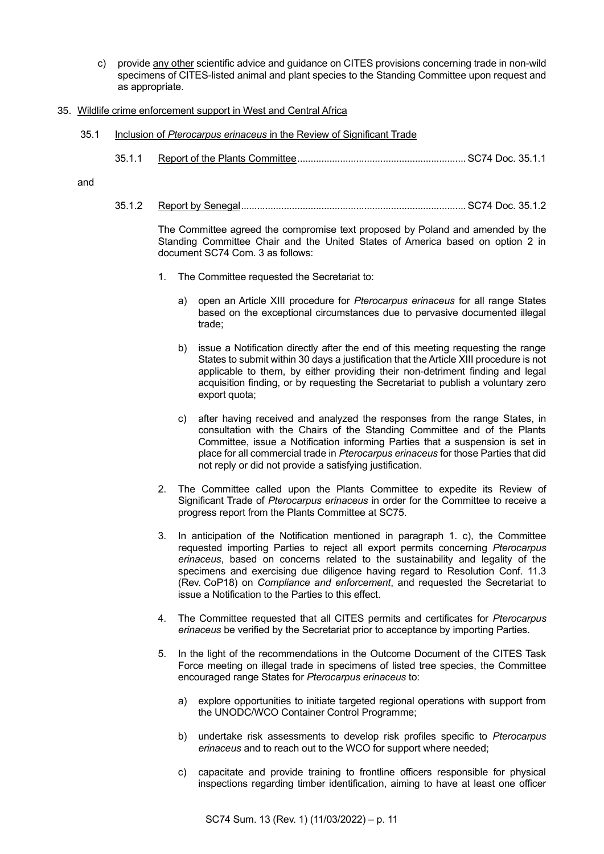- c) provide any other scientific advice and guidance on CITES provisions concerning trade in non-wild specimens of CITES-listed animal and plant species to the Standing Committee upon request and as appropriate.
- 35. Wildlife crime enforcement support in West and Central Africa
	- 35.1 Inclusion of *Pterocarpus erinaceus* in the Review of Significant Trade
		- 35.1.1 Report of the Plants Committee............................................................... SC74 Doc. 35.1.1

and

35.1.2 Report by Senegal.................................................................................... SC74 Doc. 35.1.2

The Committee agreed the compromise text proposed by Poland and amended by the Standing Committee Chair and the United States of America based on option 2 in document SC74 Com. 3 as follows:

- 1. The Committee requested the Secretariat to:
	- a) open an Article XIII procedure for *Pterocarpus erinaceus* for all range States based on the exceptional circumstances due to pervasive documented illegal trade;
	- b) issue a Notification directly after the end of this meeting requesting the range States to submit within 30 days a justification that the Article XIII procedure is not applicable to them, by either providing their non-detriment finding and legal acquisition finding, or by requesting the Secretariat to publish a voluntary zero export quota;
	- c) after having received and analyzed the responses from the range States, in consultation with the Chairs of the Standing Committee and of the Plants Committee, issue a Notification informing Parties that a suspension is set in place for all commercial trade in *Pterocarpus erinaceus* for those Parties that did not reply or did not provide a satisfying justification.
- 2. The Committee called upon the Plants Committee to expedite its Review of Significant Trade of *Pterocarpus erinaceus* in order for the Committee to receive a progress report from the Plants Committee at SC75.
- 3. In anticipation of the Notification mentioned in paragraph 1. c), the Committee requested importing Parties to reject all export permits concerning *Pterocarpus erinaceus*, based on concerns related to the sustainability and legality of the specimens and exercising due diligence having regard to Resolution Conf. 11.3 (Rev. CoP18) on *Compliance and enforcement*, and requested the Secretariat to issue a Notification to the Parties to this effect.
- 4. The Committee requested that all CITES permits and certificates for *Pterocarpus erinaceus* be verified by the Secretariat prior to acceptance by importing Parties.
- 5. In the light of the recommendations in the Outcome Document of the CITES Task Force meeting on illegal trade in specimens of listed tree species, the Committee encouraged range States for *Pterocarpus erinaceus* to:
	- a) explore opportunities to initiate targeted regional operations with support from the UNODC/WCO Container Control Programme;
	- b) undertake risk assessments to develop risk profiles specific to *Pterocarpus erinaceus* and to reach out to the WCO for support where needed;
	- c) capacitate and provide training to frontline officers responsible for physical inspections regarding timber identification, aiming to have at least one officer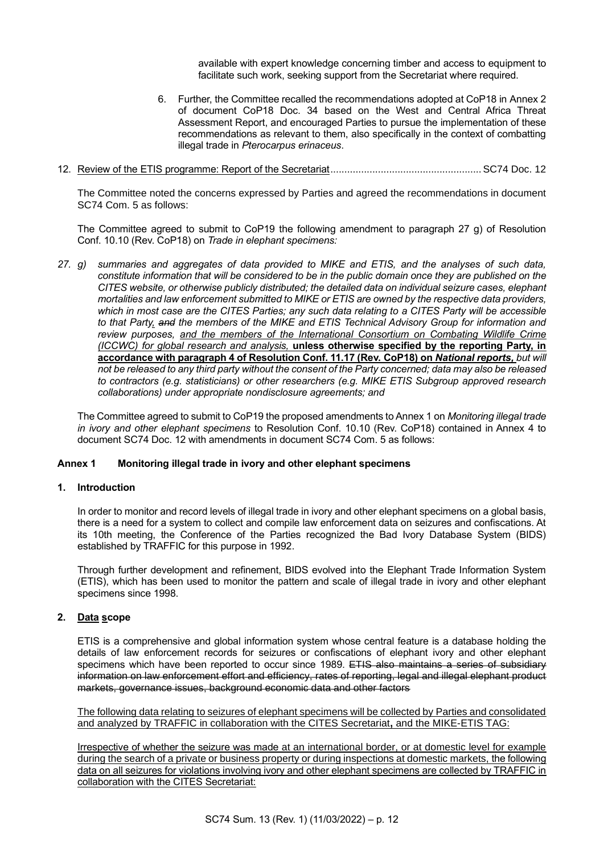available with expert knowledge concerning timber and access to equipment to facilitate such work, seeking support from the Secretariat where required.

- 6. Further, the Committee recalled the recommendations adopted at CoP18 in Annex 2 of document CoP18 Doc. 34 based on the West and Central Africa Threat Assessment Report, and encouraged Parties to pursue the implementation of these recommendations as relevant to them, also specifically in the context of combatting illegal trade in *Pterocarpus erinaceus*.
- 12. Review of the ETIS programme: Report of the Secretariat......................................................SC74 Doc. 12

The Committee noted the concerns expressed by Parties and agreed the recommendations in document SC74 Com. 5 as follows:

The Committee agreed to submit to CoP19 the following amendment to paragraph 27 g) of Resolution Conf. 10.10 (Rev. CoP18) on *Trade in elephant specimens:*

*27. g) summaries and aggregates of data provided to MIKE and ETIS, and the analyses of such data, constitute information that will be considered to be in the public domain once they are published on the CITES website, or otherwise publicly distributed; the detailed data on individual seizure cases, elephant mortalities and law enforcement submitted to MIKE or ETIS are owned by the respective data providers, which in most case are the CITES Parties; any such data relating to a CITES Party will be accessible to that Party, and the members of the MIKE and ETIS Technical Advisory Group for information and review purposes, and the members of the International Consortium on Combating Wildlife Crime (ICCWC) for global research and analysis,* **unless otherwise specified by the reporting Party, in accordance with paragraph 4 of Resolution Conf. 11.17 (Rev. CoP18) on** *National reports, but will not be released to any third party without the consent of the Party concerned; data may also be released to contractors (e.g. statisticians) or other researchers (e.g. MIKE ETIS Subgroup approved research collaborations) under appropriate nondisclosure agreements; and*

The Committee agreed to submit to CoP19 the proposed amendments to Annex 1 on *Monitoring illegal trade in ivory and other elephant specimens* to Resolution Conf. 10.10 (Rev. CoP18) contained in Annex 4 to document SC74 Doc. 12 with amendments in document SC74 Com. 5 as follows:

#### **Annex 1 Monitoring illegal trade in ivory and other elephant specimens**

#### **1. Introduction**

In order to monitor and record levels of illegal trade in ivory and other elephant specimens on a global basis, there is a need for a system to collect and compile law enforcement data on seizures and confiscations. At its 10th meeting, the Conference of the Parties recognized the Bad Ivory Database System (BIDS) established by TRAFFIC for this purpose in 1992.

Through further development and refinement, BIDS evolved into the Elephant Trade Information System (ETIS), which has been used to monitor the pattern and scale of illegal trade in ivory and other elephant specimens since 1998.

#### **2. Data scope**

ETIS is a comprehensive and global information system whose central feature is a database holding the details of law enforcement records for seizures or confiscations of elephant ivory and other elephant specimens which have been reported to occur since 1989. ETIS also maintains a series of subsidiary information on law enforcement effort and efficiency, rates of reporting, legal and illegal elephant product markets, governance issues, background economic data and other factors

The following data relating to seizures of elephant specimens will be collected by Parties and consolidated and analyzed by TRAFFIC in collaboration with the CITES Secretariat**,** and the MIKE-ETIS TAG:

Irrespective of whether the seizure was made at an international border, or at domestic level for example during the search of a private or business property or during inspections at domestic markets, the following data on all seizures for violations involving ivory and other elephant specimens are collected by TRAFFIC in collaboration with the CITES Secretariat: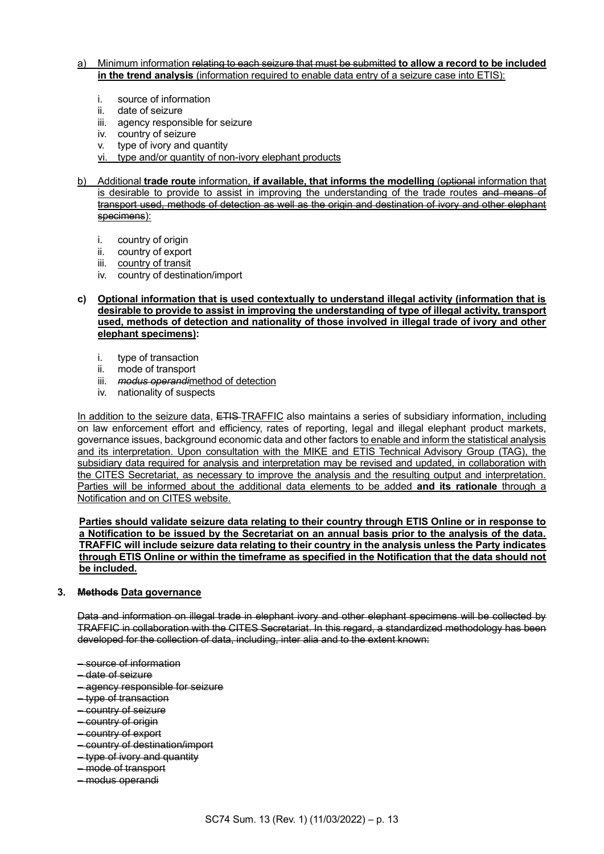### a) Minimum information relating to each seizure that must be submitted **to allow a record to be included in the trend analysis** (information required to enable data entry of a seizure case into ETIS):

- i. source of information
- ii. date of seizure
- iii. agency responsible for seizure
- iv. country of seizure
- v. type of ivory and quantity
- vi. type and/or quantity of non-ivory elephant products
- b) Additional **trade route** information, **if available, that informs the modelling** (optional information that is desirable to provide to assist in improving the understanding of the trade routes and means of transport used, methods of detection as well as the origin and destination of ivory and other elephant specimens):
	- i. country of origin
	- ii. country of export
	- iii. country of transit
	- iv. country of destination/import

### **c) Optional information that is used contextually to understand illegal activity (information that is desirable to provide to assist in improving the understanding of type of illegal activity, transport used, methods of detection and nationality of those involved in illegal trade of ivory and other elephant specimens):**

- 
- i. type of transaction<br>ii. mode of transport mode of transport
- iii. *modus operandi*method of detection
- iv. nationality of suspects

In addition to the seizure data, ETIS-TRAFFIC also maintains a series of subsidiary information, including on law enforcement effort and efficiency, rates of reporting, legal and illegal elephant product markets, governance issues, background economic data and other factors to enable and inform the statistical analysis and its interpretation. Upon consultation with the MIKE and ETIS Technical Advisory Group (TAG), the subsidiary data required for analysis and interpretation may be revised and updated, in collaboration with the CITES Secretariat, as necessary to improve the analysis and the resulting output and interpretation. Parties will be informed about the additional data elements to be added **and its rationale** through a Notification and on CITES website.

**Parties should validate seizure data relating to their country through ETIS Online or in response to a Notification to be issued by the Secretariat on an annual basis prior to the analysis of the data. TRAFFIC will include seizure data relating to their country in the analysis unless the Party indicates through ETIS Online or within the timeframe as specified in the Notification that the data should not be included.**

## **3. Methods Data governance**

Data and information on illegal trade in elephant ivory and other elephant specimens will be collected by TRAFFIC in collaboration with the CITES Secretariat. In this regard, a standardized methodology has been developed for the collection of data, including, inter alia and to the extent known:

- source of information
- date of seizure
- agency responsible for seizure
- type of transaction
- country of seizure
- country of origin
- country of export
- country of destination/import
- type of ivory and quantity
- mode of transport
- modus operandi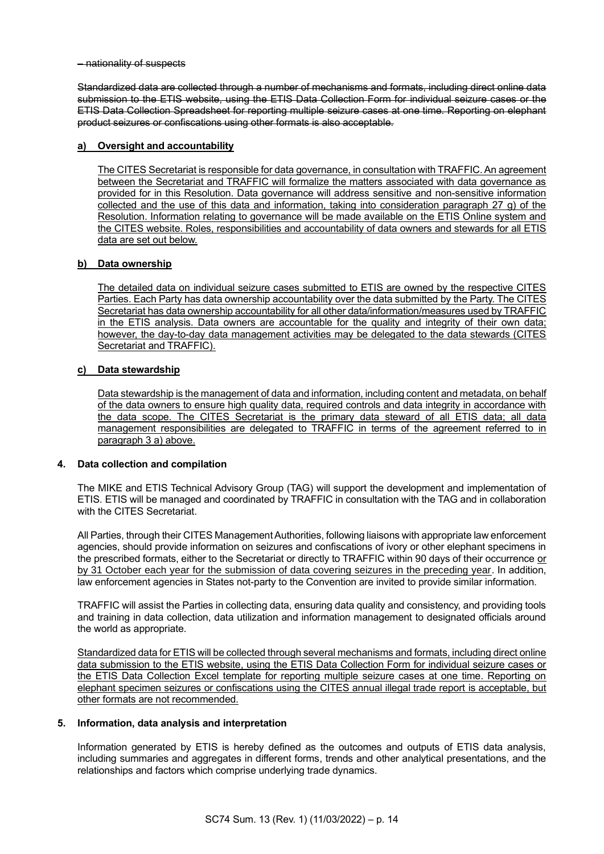– nationality of suspects

Standardized data are collected through a number of mechanisms and formats, including direct online data submission to the ETIS website, using the ETIS Data Collection Form for individual seizure cases or the ETIS Data Collection Spreadsheet for reporting multiple seizure cases at one time. Reporting on elephant product seizures or confiscations using other formats is also acceptable.

## **a) Oversight and accountability**

The CITES Secretariat is responsible for data governance, in consultation with TRAFFIC. An agreement between the Secretariat and TRAFFIC will formalize the matters associated with data governance as provided for in this Resolution. Data governance will address sensitive and non-sensitive information collected and the use of this data and information, taking into consideration paragraph 27 g) of the Resolution. Information relating to governance will be made available on the ETIS Online system and the CITES website. Roles, responsibilities and accountability of data owners and stewards for all ETIS data are set out below.

## **b) Data ownership**

The detailed data on individual seizure cases submitted to ETIS are owned by the respective CITES Parties. Each Party has data ownership accountability over the data submitted by the Party. The CITES Secretariat has data ownership accountability for all other data/information/measures used by TRAFFIC in the ETIS analysis. Data owners are accountable for the quality and integrity of their own data; however, the day-to-day data management activities may be delegated to the data stewards (CITES Secretariat and TRAFFIC).

## **c) Data stewardship**

Data stewardship is the management of data and information, including content and metadata, on behalf of the data owners to ensure high quality data, required controls and data integrity in accordance with the data scope. The CITES Secretariat is the primary data steward of all ETIS data; all data management responsibilities are delegated to TRAFFIC in terms of the agreement referred to in paragraph 3 a) above.

### **4. Data collection and compilation**

The MIKE and ETIS Technical Advisory Group (TAG) will support the development and implementation of ETIS. ETIS will be managed and coordinated by TRAFFIC in consultation with the TAG and in collaboration with the CITES Secretariat.

All Parties, through their CITES Management Authorities, following liaisons with appropriate law enforcement agencies, should provide information on seizures and confiscations of ivory or other elephant specimens in the prescribed formats, either to the Secretariat or directly to TRAFFIC within 90 days of their occurrence or by 31 October each year for the submission of data covering seizures in the preceding year. In addition, law enforcement agencies in States not-party to the Convention are invited to provide similar information.

TRAFFIC will assist the Parties in collecting data, ensuring data quality and consistency, and providing tools and training in data collection, data utilization and information management to designated officials around the world as appropriate.

Standardized data for ETIS will be collected through several mechanisms and formats, including direct online data submission to the ETIS website, using the ETIS Data Collection Form for individual seizure cases or the ETIS Data Collection Excel template for reporting multiple seizure cases at one time. Reporting on elephant specimen seizures or confiscations using the CITES annual illegal trade report is acceptable, but other formats are not recommended.

### **5. Information, data analysis and interpretation**

Information generated by ETIS is hereby defined as the outcomes and outputs of ETIS data analysis, including summaries and aggregates in different forms, trends and other analytical presentations, and the relationships and factors which comprise underlying trade dynamics.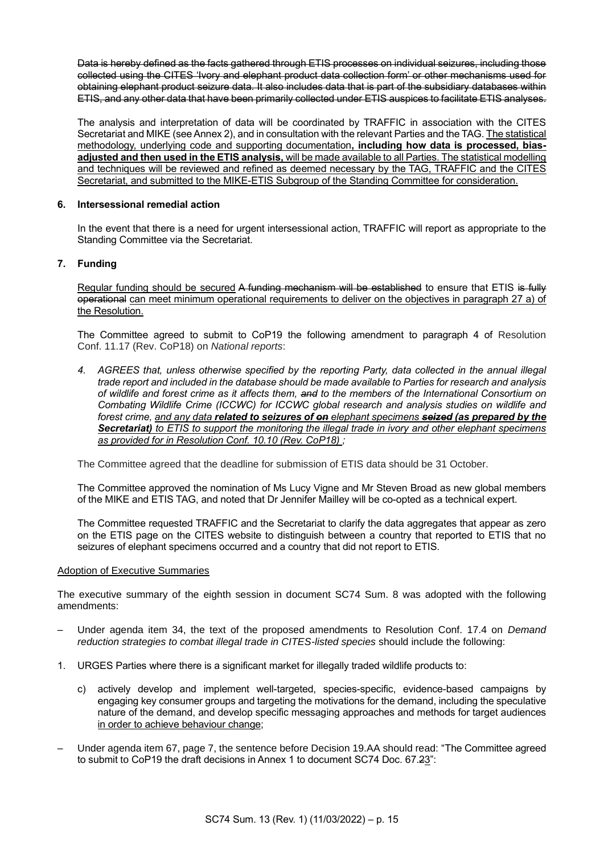Data is hereby defined as the facts gathered through ETIS processes on individual seizures, including those collected using the CITES 'Ivory and elephant product data collection form' or other mechanisms used for obtaining elephant product seizure data. It also includes data that is part of the subsidiary databases within ETIS, and any other data that have been primarily collected under ETIS auspices to facilitate ETIS analyses.

The analysis and interpretation of data will be coordinated by TRAFFIC in association with the CITES Secretariat and MIKE (see Annex 2), and in consultation with the relevant Parties and the TAG. The statistical methodology, underlying code and supporting documentation**, including how data is processed, biasadjusted and then used in the ETIS analysis,** will be made available to all Parties. The statistical modelling and techniques will be reviewed and refined as deemed necessary by the TAG, TRAFFIC and the CITES Secretariat, and submitted to the MIKE-ETIS Subgroup of the Standing Committee for consideration.

## **6. Intersessional remedial action**

In the event that there is a need for urgent intersessional action, TRAFFIC will report as appropriate to the Standing Committee via the Secretariat.

## **7. Funding**

Regular funding should be secured A funding mechanism will be established to ensure that ETIS is fully operational can meet minimum operational requirements to deliver on the objectives in paragraph 27 a) of the Resolution.

The Committee agreed to submit to CoP19 the following amendment to paragraph 4 of Resolution Conf. 11.17 (Rev. CoP18) on *National reports*:

*4. AGREES that, unless otherwise specified by the reporting Party, data collected in the annual illegal trade report and included in the database should be made available to Parties for research and analysis of wildlife and forest crime as it affects them, and to the members of the International Consortium on Combating Wildlife Crime (ICCWC) for ICCWC global research and analysis studies on wildlife and forest crime, and any data related to seizures of on elephant specimens seized (as prepared by the Secretariat) to ETIS to support the monitoring the illegal trade in ivory and other elephant specimens as provided for in Resolution Conf. 10.10 (Rev. CoP18) ;*

The Committee agreed that the deadline for submission of ETIS data should be 31 October.

The Committee approved the nomination of Ms Lucy Vigne and Mr Steven Broad as new global members of the MIKE and ETIS TAG, and noted that Dr Jennifer Mailley will be co-opted as a technical expert.

The Committee requested TRAFFIC and the Secretariat to clarify the data aggregates that appear as zero on the ETIS page on the CITES website to distinguish between a country that reported to ETIS that no seizures of elephant specimens occurred and a country that did not report to ETIS.

### Adoption of Executive Summaries

The executive summary of the eighth session in document SC74 Sum. 8 was adopted with the following amendments:

- Under agenda item 34, the text of the proposed amendments to Resolution Conf. 17.4 on *Demand reduction strategies to combat illegal trade in CITES-listed species* should include the following:
- 1. URGES Parties where there is a significant market for illegally traded wildlife products to:
	- c) actively develop and implement well-targeted, species-specific, evidence-based campaigns by engaging key consumer groups and targeting the motivations for the demand, including the speculative nature of the demand, and develop specific messaging approaches and methods for target audiences in order to achieve behaviour change;
- Under agenda item 67, page 7, the sentence before Decision 19.AA should read: "The Committee agreed to submit to CoP19 the draft decisions in Annex 1 to document SC74 Doc. 67.23":